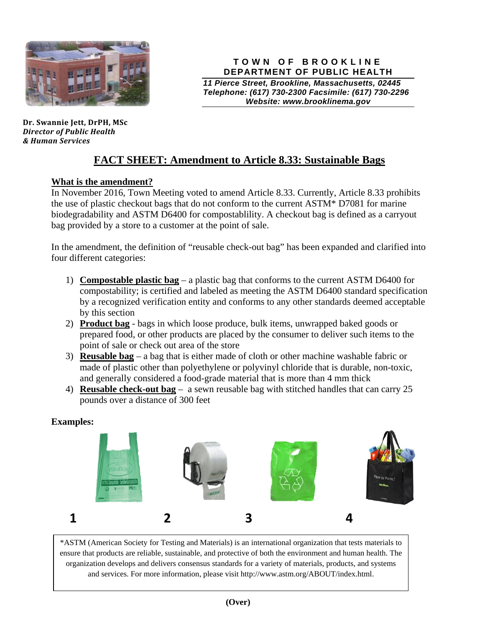

**Dr. Swannie Jett, DrPH, MSc** *Director of Public Health & Human Services*

#### **TOWN OF BROOKLINE DEPARTMENT OF PUBLIC HEALTH**

*11 Pierce Street, Brookline, Massachusetts, 02445 Telephone: (617) 730-2300 Facsimile: (617) 730-2296 Website: www.brooklinema.gov* 

# **FACT SHEET: Amendment to Article 8.33: Sustainable Bags**

## **What is the amendment?**

In November 2016, Town Meeting voted to amend Article 8.33. Currently, Article 8.33 prohibits the use of plastic checkout bags that do not conform to the current ASTM\* D7081 for marine biodegradability and ASTM D6400 for compostablility. A checkout bag is defined as a carryout bag provided by a store to a customer at the point of sale.

In the amendment, the definition of "reusable check-out bag" has been expanded and clarified into four different categories:

- 1) **Compostable plastic bag** a plastic bag that conforms to the current ASTM D6400 for compostability; is certified and labeled as meeting the ASTM D6400 standard specification by a recognized verification entity and conforms to any other standards deemed acceptable by this section
- 2) **Product bag** bags in which loose produce, bulk items, unwrapped baked goods or prepared food, or other products are placed by the consumer to deliver such items to the point of sale or check out area of the store
- 3) **Reusable bag** a bag that is either made of cloth or other machine washable fabric or made of plastic other than polyethylene or polyvinyl chloride that is durable, non-toxic, and generally considered a food-grade material that is more than 4 mm thick
- 4) **Reusable check-out bag** a sewn reusable bag with stitched handles that can carry 25 pounds over a distance of 300 feet

### **Examples:**



\*ASTM (American Society for Testing and Materials) is an international organization that tests materials to ensure that products are reliable, sustainable, and protective of both the environment and human health. The organization develops and delivers consensus standards for a variety of materials, products, and systems and services. For more information, please visit http://www.astm.org/ABOUT/index.html.